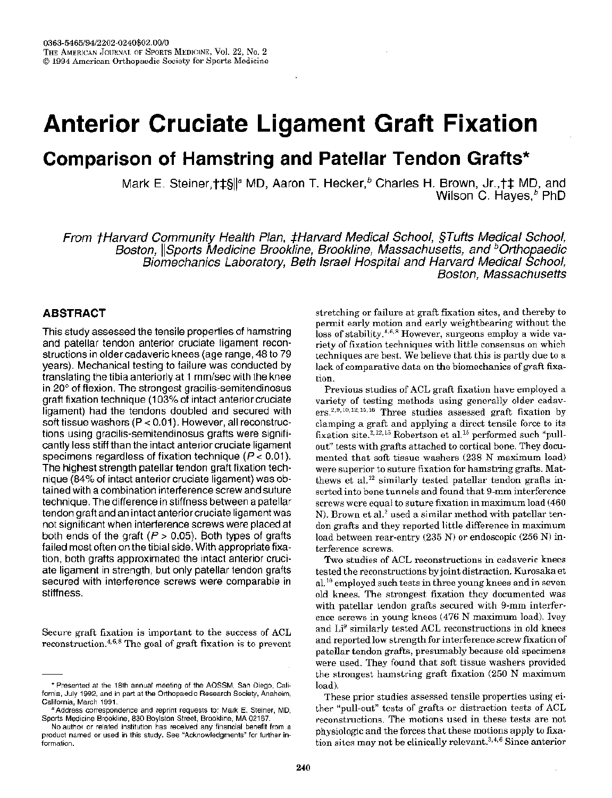# **Anterior Cruciate Ligament Graft Fixation**

# **Comparison of Hamstring and Patellar Tendon Grafts\***

Mark E. Steiner, + t§||<sup>a</sup> MD, Aaron T. Hecker,<sup>b</sup> Charles H. Brown, Jr., + t MD, and Wilson C. Haves.<sup>b</sup> PhD

From tHarvard Community Health Plan, tHarvard Medical School, §Tufts Medical School, Boston, Sports Medicine Brookline, Brookline, Massachusetts, and <sup>b</sup>Orthopaedic Biomechanics Laboratory, Beth Israel Hospital and Harvard Medical School, **Boston, Massachusetts** 

# **ABSTRACT**

This study assessed the tensile properties of hamstring and patellar tendon anterior cruciate ligament reconstructions in older cadaveric knees (age range, 48 to 79 years). Mechanical testing to failure was conducted by translating the tibia anteriorly at 1 mm/sec with the knee in 20° of flexion. The strongest gracilis-semitendinosus graft fixation technique (103% of intact anterior cruciate ligament) had the tendons doubled and secured with soft tissue washers (P < 0.01). However, all reconstructions using gracilis-semitendinosus grafts were significantly less stiff than the intact anterior cruciate ligament specimens regardless of fixation technique ( $P < 0.01$ ). The highest strength patellar tendon graft fixation technique (84% of intact anterior cruciate ligament) was obtained with a combination interference screw and suture technique. The difference in stiffness between a patellar tendon graft and an intact anterior cruciate ligament was not significant when interference screws were placed at both ends of the graft ( $P > 0.05$ ). Both types of grafts failed most often on the tibial side. With appropriate fixation, both grafts approximated the intact anterior cruciate ligament in strength, but only patellar tendon grafts secured with interference screws were comparable in stiffness.

Secure graft fixation is important to the success of ACL reconstruction.<sup>4,6,8</sup> The goal of graft fixation is to prevent stretching or failure at graft fixation sites, and thereby to permit early motion and early weightbearing without the loss of stability.<sup>4,6,8</sup> However, surgeons employ a wide variety of fixation techniques with little consensus on which techniques are best. We believe that this is partly due to a lack of comparative data on the biomechanics of graft fixation.

Previous studies of ACL graft fixation have employed a variety of testing methods using generally older cadav $ers.$ <sup>2,9,10,12,15,16</sup> Three studies assessed graft fixation by clamping a graft and applying a direct tensile force to its fixation site.<sup>2,12,15</sup> Robertson et al.<sup>15</sup> performed such "pullout" tests with grafts attached to cortical bone. They documented that soft tissue washers (238 N maximum load) were superior to suture fixation for hamstring grafts. Matthews et al.<sup>12</sup> similarly tested patellar tendon grafts inserted into bone tunnels and found that 9-mm interference screws were equal to suture fixation in maximum load (460) N). Brown et al.<sup>2</sup> used a similar method with patellar tendon grafts and they reported little difference in maximum load between rear-entry (235 N) or endoscopic (256 N) interference screws.

Two studies of ACL reconstructions in cadaveric knees tested the reconstructions by joint distraction. Kurosaka et al.<sup>10</sup> employed such tests in three young knees and in seven old knees. The strongest fixation they documented was with patellar tendon grafts secured with 9-mm interference screws in young knees (476 N maximum load). Ivey and Li<sup>9</sup> similarly tested ACL reconstructions in old knees and reported low strength for interference screw fixation of patellar tendon grafts, presumably because old specimens were used. They found that soft tissue washers provided the strongest hamstring graft fixation (250 N maximum load).

These prior studies assessed tensile properties using either "pull-out" tests of grafts or distraction tests of ACL reconstructions. The motions used in these tests are not physiologic and the forces that these motions apply to fixation sites may not be clinically relevant.<sup>3,4,6</sup> Since anterior

<sup>\*</sup> Presented at the 18th annual meeting of the AOSSM, San Diego, California, July 1992, and in part at the Orthopaedic Research Society, Anaheim, California, March 1991.

<sup>&</sup>lt;sup>8</sup> Address correspondence and reprint requests to: Mark E. Steiner, MD, Sports Medicine Brookline, 830 Boylston Street, Brookline, MA 02167.

No author or related institution has received any financial benefit from a product named or used in this study. See "Acknowledgments" for further information.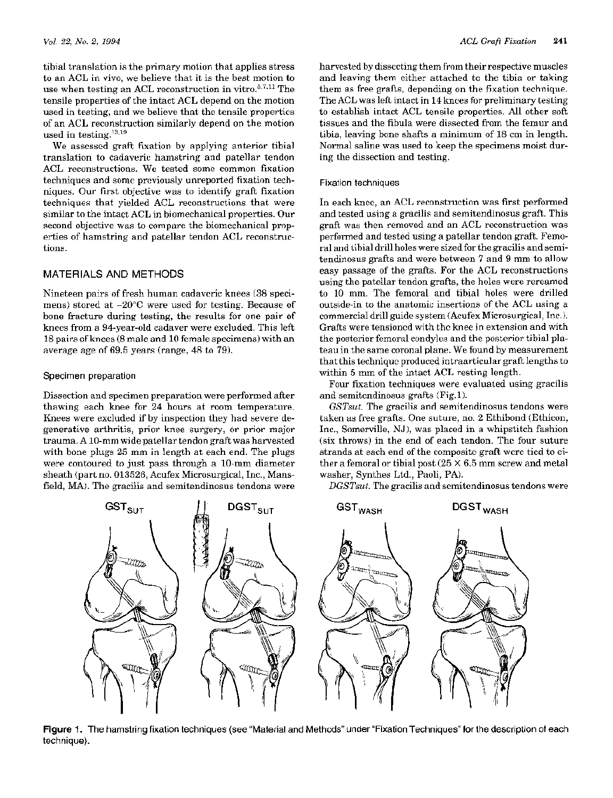tibial translation is the primary motion that applies stress to an ACL in vivo, we believe that it is the best motion to use when testing an ACL reconstruction in vitro.<sup>5,7,11</sup> The tensile properties of the intact ACL depend on the motion used in testing, and we believe that the tensile properties of an ACL reconstruction similarly depend on the motion used in testing.<sup>13,19</sup>

We assessed graft fixation by applying anterior tibial translation to cadaveric hamstring and patellar tendon ACL reconstructions. We tested some common fixation techniques and some previously unreported fixation techniques. Our first objective was to identify graft fixation techniques that yielded ACL reconstructions that were similar to the intact ACL in biomechanical properties. Our second objective was to compare the biomechanical properties of hamstring and patellar tendon ACL reconstructions.

### MATERIALS AND METHODS

Nineteen pairs of fresh human cadaveric knees (38 specimens) stored at  $-20^{\circ}$ C were used for testing. Because of bone fracture during testing, the results for one pair of knees from a 94-year-old cadaver were excluded. This left 18 pairs of knees (8 male and 10 female specimens) with an average age of 69.5 years (range, 48 to 79).

#### Specimen preparation

Dissection and specimen preparation were performed after thawing each knee for 24 hours at room temperature. Knees were excluded if by inspection they had severe degenerative arthritis, prior knee surgery, or prior major trauma. A 10-mm wide patellar tendon graft was harvested with bone plugs 25 mm in length at each end. The plugs were contoured to just pass through a 10-mm diameter sheath (part no. 013526, Acufex Microsurgical, Inc., Mansfield, MA). The gracilis and semitendinosus tendons were harvested by dissecting them from their respective muscles and leaving them either attached to the tibia or taking them as free grafts, depending on the fixation technique. The ACL was left intact in 14 knees for preliminary testing to establish intact ACL tensile properties. All other soft tissues and the fibula were dissected from the femur and tibia, leaving bone shafts a minimum of 18 cm in length. Normal saline was used to keep the specimens moist during the dissection and testing.

#### **Fixation techniques**

In each knee, an ACL reconstruction was first performed and tested using a gracilis and semitendinosus graft. This graft was then removed and an ACL reconstruction was performed and tested using a patellar tendon graft. Femoral and tibial drill holes were sized for the gracilis and semitendinosus grafts and were between 7 and 9 mm to allow easy passage of the grafts. For the ACL reconstructions using the patellar tendon grafts, the holes were rereamed to 10 mm. The femoral and tibial holes were drilled outside-in to the anatomic insertions of the ACL using a commercial drill guide system (Acufex Microsurgical, Inc.). Grafts were tensioned with the knee in extension and with the posterior femoral condyles and the posterior tibial plateau in the same coronal plane. We found by measurement that this technique produced intraarticular graft lengths to within 5 mm of the intact ACL resting length.

Four fixation techniques were evaluated using gracilis and semitendinosus grafts (Fig.1).

GSTsut. The gracilis and semitendinosus tendons were taken as free grafts. One suture, no. 2 Ethibond (Ethicon, Inc., Somerville, NJ), was placed in a whipstitch fashion (six throws) in the end of each tendon. The four suture strands at each end of the composite graft were tied to either a femoral or tibial post  $(25 \times 6.5 \text{ mm})$  screw and metal washer, Synthes Ltd., Paoli, PA).

DGSTsut. The gracilis and semitendinosus tendons were



Figure 1. The hamstring fixation techniques (see "Material and Methods" under "Fixation Techniques" for the description of each technique).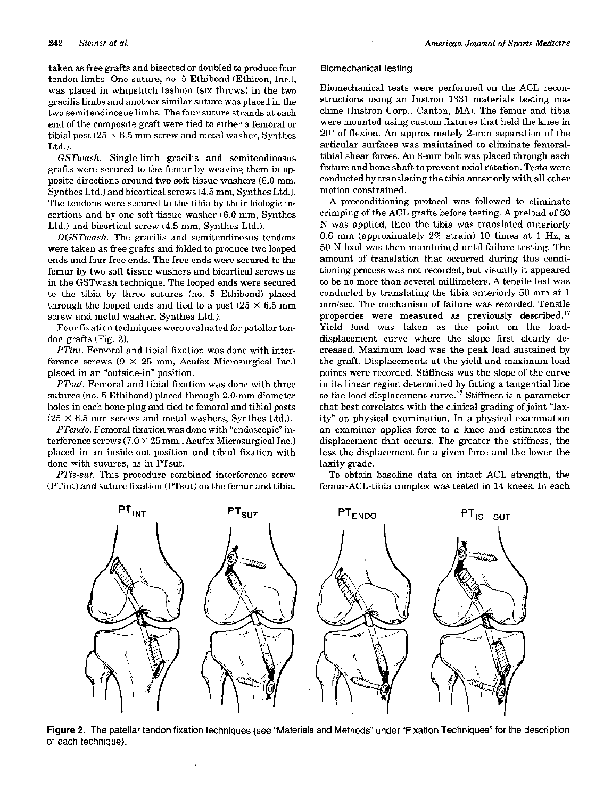taken as free grafts and bisected or doubled to produce four tendon limbs. One suture, no. 5 Ethibond (Ethicon, Inc.). was placed in whipstitch fashion (six throws) in the two gracilis limbs and another similar suture was placed in the two semitendinosus limbs. The four suture strands at each end of the composite graft were tied to either a femoral or tibial post ( $25 \times 6.5$  mm screw and metal washer, Synthes  $Ltd.$ ).

GSTwash. Single-limb gracilis and semitendinosus grafts were secured to the femur by weaving them in opposite directions around two soft tissue washers (6.0 mm, Synthes Ltd.) and bicortical screws (4.5 mm, Synthes Ltd.). The tendons were secured to the tibia by their biologic insertions and by one soft tissue washer (6.0 mm, Synthes Ltd.) and bicortical screw (4.5 mm, Synthes Ltd.).

 $DGSTwosh$ . The gracilis and semitendinosus tendons were taken as free grafts and folded to produce two looped ends and four free ends. The free ends were secured to the femur by two soft tissue washers and bicortical screws as in the GSTwash technique. The looped ends were secured to the tibia by three sutures (no. 5 Ethibond) placed through the looped ends and tied to a post (25  $\times$  6.5 mm screw and metal washer. Synthes Ltd.).

Four fixation techniques were evaluated for patellar tendon grafts (Fig. 2).

PTint. Femoral and tibial fixation was done with interference screws  $(9 \times 25$  mm, Acufex Microsurgical Inc.) placed in an "outside-in" position.

PTsut. Femoral and tibial fixation was done with three sutures (no. 5 Ethibond) placed through 2.0-mm diameter holes in each bone plug and tied to femoral and tibial posts  $(25 \times 6.5$  mm screws and metal washers, Synthes Ltd.).

PTendo. Femoral fixation was done with "endoscopic" interference screws (7.0  $\times$  25 mm., Acufex Microsurgical Inc.) placed in an inside-out position and tibial fixation with done with sutures, as in PTsut.

PTis-sut. This procedure combined interference screw (PTint) and suture fixation (PTsut) on the femur and tibia.

#### Biomechanical testing

Biomechanical tests were performed on the ACL reconstructions using an Instron 1331 materials testing machine (Instron Corp., Canton, MA). The femur and tibia were mounted using custom fixtures that held the knee in  $20^{\circ}$  of flexion. An approximately 2-mm separation of the articular surfaces was maintained to climinate femoraltibial shear forces. An 8-mm bolt was placed through each fixture and bone shaft to prevent axial rotation. Tests were conducted by translating the tibia anteriorly with all other motion constrained.

A preconditioning protocol was followed to eliminate crimping of the ACL grafts before testing. A preload of 50 N was applied, then the tibia was translated anteriorly 0.6 mm (approximately 2% strain) 10 times at 1 Hz, a 50-N load was then maintained until failure testing. The amount of translation that occurred during this conditioning process was not recorded, but visually it appeared to be no more than several millimeters. A tensile test was conducted by translating the tibia anteriorly 50 mm at 1 mm/sec. The mechanism of failure was recorded. Tensile properties were measured as previously described.<sup>17</sup> Yield load was taken as the point on the loaddisplacement curve where the slope first clearly decreased. Maximum load was the peak load sustained by the graft. Displacements at the yield and maximum load points were recorded. Stiffness was the slope of the curve in its linear region determined by fitting a tangential line to the load-displacement curve.<sup>17</sup> Stiffness is a parameter that best correlates with the clinical grading of joint "laxity" on physical examination. In a physical examination an examiner applies force to a knee and estimates the displacement that occurs. The greater the stiffness, the less the displacement for a given force and the lower the laxity grade.

To obtain baseline data on intact ACL strength, the femur-ACL-tibia complex was tested in 14 knees. In each



Figure 2. The patellar tendon fixation techniques (see "Materials and Methods" under "Fixation Techniques" for the description of each technique).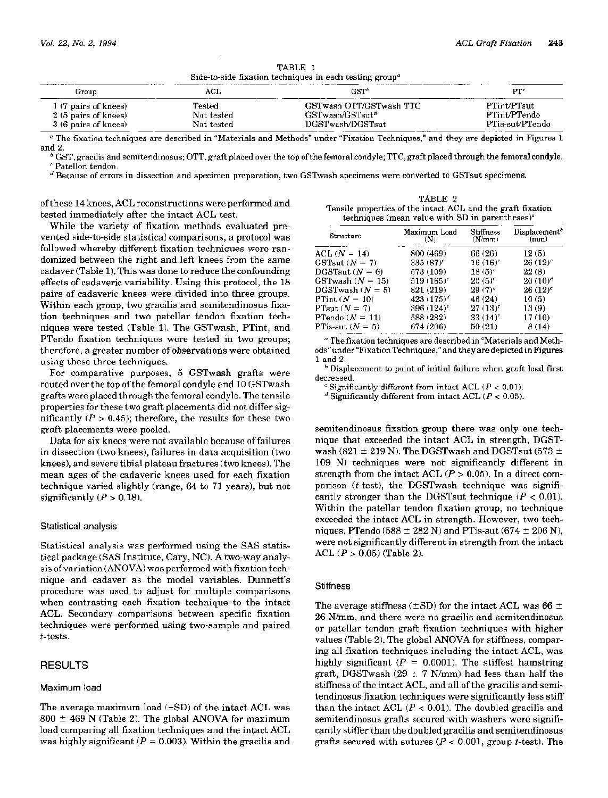| Side-to-side fixation techniques in each testing group"              |                                    |                                                                                |                                                |  |  |  |
|----------------------------------------------------------------------|------------------------------------|--------------------------------------------------------------------------------|------------------------------------------------|--|--|--|
| Group                                                                | ACL                                | GST*                                                                           | PT.                                            |  |  |  |
| 1 (7 pairs of knees)<br>2 (5 pairs of knees)<br>3 (6 pairs of knees) | Tested<br>Not tested<br>Not tested | GSTwash OTT/GSTwash TTC<br>GST was h/GST suit <sup>d</sup><br>DGSTwash/DGSTsut | PTint/PTsut<br>PTint/PTendo<br>PTis-sut/PTendo |  |  |  |

TABLE 1

<sup>e</sup> The fixation techniques are described in "Materials and Methods" under "Fixation Techniques," and they are depicted in Figures 1 and  $2$ .

<sup>6</sup> GST, gracilis and semitendinosus; OTT, graft placed over the top of the femoral condyle; TTC, graft placed through the femoral condyle. Patellon tendon.

 $<sup>d</sup>$  Because of errors in dissection and specimen preparation, two GST wash specimens were converted to GST sut specimens.</sup>

of these 14 knees, ACL reconstructions were performed and tested immediately after the intact ACL test.

TABLE 2 Tensile properties of the intact ACL and the graft fixation techniques (mean value with SD in parentheses)<sup>a</sup>  $\mathfrak{ment}^{\mathfrak{b}}$ 

| Structure          | Maximum Load<br>(N)    | <b>Stiffness</b><br>(N/mm) | Displaceme:<br>(nm) |
|--------------------|------------------------|----------------------------|---------------------|
| $ACL (N = 14)$     | 800 (469)              | 66 (26)                    | 12(5)               |
| GSTsut $(N = 7)$   | 335 (87) <sup>r</sup>  | $16(16)^c$                 | $26(12)^c$          |
| $DGSTsut (N = 6)$  | 573 (109)              | $18(5)^c$                  | 22(8)               |
| GSTwash $(N = 15)$ | 519 (165) <sup>c</sup> | $20(5)^{r}$                | $20(10)^{d}$        |
| $DGSTwash (N = 5)$ | 821 (219)              | $29(7)^c$                  | 26 (12)             |
| PTint $(N = 10)$   | $423(175)^{d}$         | 46 (24)                    | 10(5)               |
| PTsut $(N = 7)$    | $396 (124)^c$          | $27(13)^r$                 | 13(9)               |
| PTendo $(N = 11)$  | 588 (282)              | $33(14)^c$                 | 17 (10)             |
| PTis-sut $(N = 5)$ | 674 (206)              | 50 (21)                    | 8(14)               |
|                    |                        |                            |                     |

<sup>a</sup> The fixation techniques are described in "Materials and Methods" under "Fixation Techniques," and they are depicted in Figures 1 and 2.

<sup>*h*</sup> Displacement to point of initial failure when graft load first decreased.

Significantly different from intact ACL  $(P < 0.01)$ .

 $d$  Significantly different from intact ACL ( $P < 0.05$ ).

semitendinosus fixation group there was only one technique that exceeded the intact ACL in strength, DGSTwash (821  $\pm$  219 N). The DGSTwash and DGSTsut (573  $\pm$ 109 N) techniques were not significantly different in strength from the intact ACL  $(P > 0.05)$ . In a direct comparison  $(t$ -test), the DGSTwash technique was significantly stronger than the DGSTsut technique  $(P < 0.01)$ . Within the patellar tendon fixation group, no technique exceeded the intact ACL in strength. However, two techniques, PTendo (588  $\pm$  282 N) and PTis-sut (674  $\pm$  206 N), were not significantly different in strength from the intact  $ACL$  ( $P > 0.05$ ) (Table 2).

#### **Stiffness**

The average stiffness ( $\pm$ SD) for the intact ACL was 66  $\pm$ 26 N/mm, and there were no gracilis and semitendinosus or patellar tendon graft fixation techniques with higher values (Table 2). The global ANOVA for stiffness, comparing all fixation techniques including the intact ACL, was highly significant ( $P = 0.0001$ ). The stiffest hamstring graft, DGSTwash  $(29 \pm 7 \text{ N/mm})$  had less than half the stiffness of the intact ACL, and all of the gracilis and semitendinosus fixation techniques were significantly less stiff than the intact ACL  $(P < 0.01)$ . The doubled gracilis and semitendinosus grafts secured with washers were significantly stiffer than the doubled gracilis and semitendinosus grafts secured with sutures ( $P < 0.001$ , group t-test). The

While the variety of fixation methods evaluated prevented side-to-side statistical comparisons, a protocol was followed whereby different fixation techniques were randomized between the right and left knees from the same cadaver (Table 1). This was done to reduce the confounding effects of cadaveric variability. Using this protocol, the 18 pairs of cadaveric knees were divided into three groups. Within each group, two gracilis and semitendinosus fixation techniques and two patellar tendon fixation techniques were tested (Table 1). The GSTwash, PTint, and PTendo fixation techniques were tested in two groups; therefore, a greater number of observations were obtained using these three techniques.

For comparative purposes, 5 GSTwash grafts were routed over the top of the femoral condyle and 10 GSTwash grafts were placed through the femoral condyle. The tensile properties for these two graft placements did not differ significantly ( $P > 0.45$ ); therefore, the results for these two graft placements were pooled.

Data for six knees were not available because of failures in dissection (two knees), failures in data acquisition (two knees), and severe tibial plateau fractures (two knees). The mean ages of the cadaveric knees used for each fixation technique varied slightly (range, 64 to 71 years), but not significantly ( $P > 0.18$ ).

#### Statistical analysis

Statistical analysis was performed using the SAS statistical package (SAS Institute, Cary, NC). A two-way analysis of variation (ANOVA) was performed with fixation technique and cadaver as the model variables. Dunnett's procedure was used to adjust for multiple comparisons when contrasting each fixation technique to the intact ACL. Secondary comparisons between specific fixation techniques were performed using two-sample and paired  $t$ -tests.

#### **RESULTS**

#### Maximum load

The average maximum load  $(\pm SD)$  of the intact ACL was  $800 \pm 469$  N (Table 2). The global ANOVA for maximum load comparing all fixation techniques and the intact ACL was highly significant ( $P = 0.003$ ). Within the gracilis and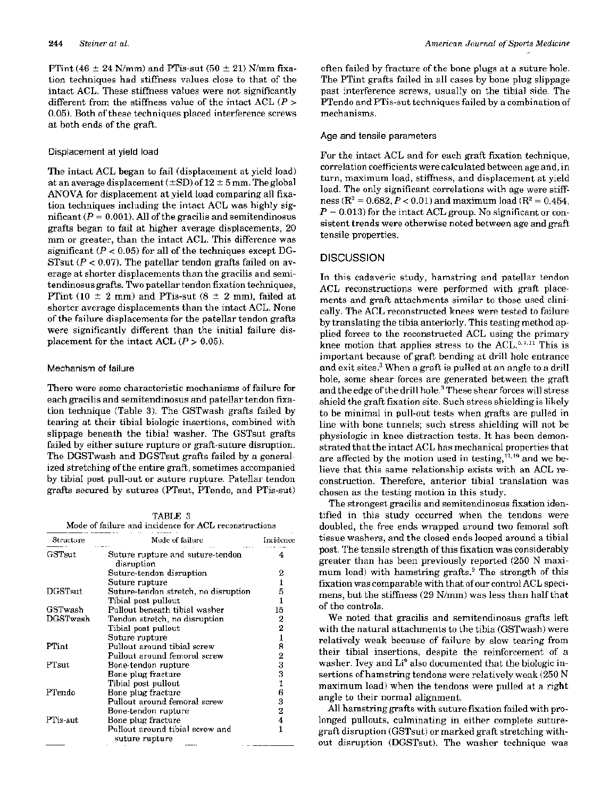PTint (46  $\pm$  24 N/mm) and PTis-sut (50  $\pm$  21) N/mm fixation techniques had stiffness values close to that of the intact ACL. These stiffness values were not significantly different from the stiffness value of the intact ACL  $(P >$ 0.05). Both of these techniques placed interference screws at both ends of the graft.

#### Displacement at yield load

The intact ACL began to fail (displacement at yield load) at an average displacement  $(\pm SD)$  of  $12 \pm 5$  mm. The global ANOVA for displacement at yield load comparing all fixation techniques including the intact ACL was highly significant ( $P = 0.001$ ). All of the gracilis and semitendinosus grafts began to fail at higher average displacements, 20 mm or greater, than the intact ACL. This difference was significant ( $P < 0.05$ ) for all of the techniques except DG-STsut ( $P < 0.07$ ). The patellar tendon grafts failed on average at shorter displacements than the gracilis and semitendinosus grafts. Two patellar tendon fixation techniques, PTint (10  $\pm$  2 mm) and PTis-sut (8  $\pm$  2 mm), failed at shorter average displacements than the intact ACL. None of the failure displacements for the patellar tendon grafts were significantly different than the initial failure displacement for the intact ACL  $(P > 0.05)$ .

#### Mechanism of failure

There were some characteristic mechanisms of failure for each gracilis and semitendinosus and patellar tendon fixation technique (Table 3). The GSTwash grafts failed by tearing at their tibial biologic insertions, combined with slippage beneath the tibial washer. The GSTsut grafts failed by either suture rupture or graft-suture disruption. The DGSTwash and DGSTsut grafts failed by a generalized stretching of the entire graft, sometimes accompanied by tibial post pull-out or suture rupture. Patellar tendon grafts secured by sutures (PTsut, PTendo, and PTis-sut)

TABLE 3 Mode of failure and incidence for ACL reconstructions

| Structure       | Mode of failure                                   | Incidence |
|-----------------|---------------------------------------------------|-----------|
| GSTsut          | Suture rupture and suture-tendon<br>disruption    | 4         |
|                 | Suture-tendon disruption                          | 2         |
|                 | Suture rupture                                    | 1         |
| <b>DGSTsut</b>  | Suture-tendon stretch, no disruption              | 5         |
|                 | Tibial post pullout                               | 1         |
| GSTwash         | Pullout beneath tibial washer                     | 15        |
| DGSTwash        | Tendon stretch, no disruption                     | 2         |
|                 | Tibial post pullout                               | 2         |
|                 | Suture rupture                                    | 1         |
| PTint           | Pullout around tibial screw                       | 8         |
|                 | Pullout around femoral screw                      | 2         |
| $PT_{\rm Sult}$ | Bone-tendon rupture                               | 3         |
|                 | Bone plug fracture                                | 3         |
|                 | Tibial post pullout                               | 1         |
| PTendo          | Bone plug fracture                                | 6         |
|                 | Pullout around femoral screw                      | 3         |
|                 | Bone-tendon rupture                               | 2         |
| PTis-sut        | Bone plug fracture                                | 4         |
|                 | Pullout around tibial screw and<br>suture rupture | 1         |

often failed by fracture of the bone plugs at a suture hole. The PTint grafts failed in all cases by bone plug slippage past interference screws, usually on the tibial side. The PTendo and PTis-sut techniques failed by a combination of mechanisms.

#### Age and tensile parameters

For the intact ACL and for each graft fixation technique, correlation coefficients were calculated between age and, in turn, maximum load, stiffness, and displacement at yield load. The only significant correlations with age were stiffness ( $R^2 = 0.682$ ,  $P < 0.01$ ) and maximum load ( $R^2 = 0.454$ ,  $P = 0.013$  for the intact ACL group. No significant or consistent trends were otherwise noted between age and graft tensile properties.

#### **DISCUSSION**

In this cadaveric study, hamstring and patellar tendon ACL reconstructions were performed with graft placements and graft attachments similar to those used clinically. The ACL reconstructed knees were tested to failure by translating the tibia anteriorly. This testing method applied forces to the reconstructed ACL using the primary knee motion that applies stress to the ACL.<sup>5,7,11</sup> This is important because of graft bending at drill hole entrance and exit sites.<sup>3</sup> When a graft is pulled at an angle to a drill hole, some shear forces are generated between the graft and the edge of the drill hole.<sup>3</sup> These shear forces will stress shield the graft fixation site. Such stress shielding is likely to be minimal in pull-out tests when grafts are pulled in line with bone tunnels; such stress shielding will not be physiologic in knee distraction tests. It has been demonstrated that the intact ACL has mechanical properties that are affected by the motion used in testing, $13,19$  and we believe that this same relationship exists with an ACL reconstruction. Therefore, anterior tibial translation was chosen as the testing motion in this study.

The strongest gracilis and semitendinosus fixation identified in this study occurred when the tendons were doubled, the free ends wrapped around two femoral soft tissue washers, and the closed ends looped around a tibial post. The tensile strength of this fixation was considerably greater than has been previously reported (250 N maximum load) with hamstring grafts.<sup>9</sup> The strength of this fixation was comparable with that of our control ACL specimens, but the stiffness (29 N/mm) was less than half that of the controls.

We noted that gracilis and semitendinosus grafts left with the natural attachments to the tibia (GSTwash) were relatively weak because of failure by slow tearing from their tibial insertions, despite the reinforcement of a washer. Ivey and Li<sup>9</sup> also documented that the biologic insertions of hamstring tendons were relatively weak (250 N maximum load) when the tendons were pulled at a right angle to their normal alignment.

All hamstring grafts with suture fixation failed with prolonged pullouts, culminating in either complete suturegraft disruption (GSTsut) or marked graft stretching without disruption (DGSTsut). The washer technique was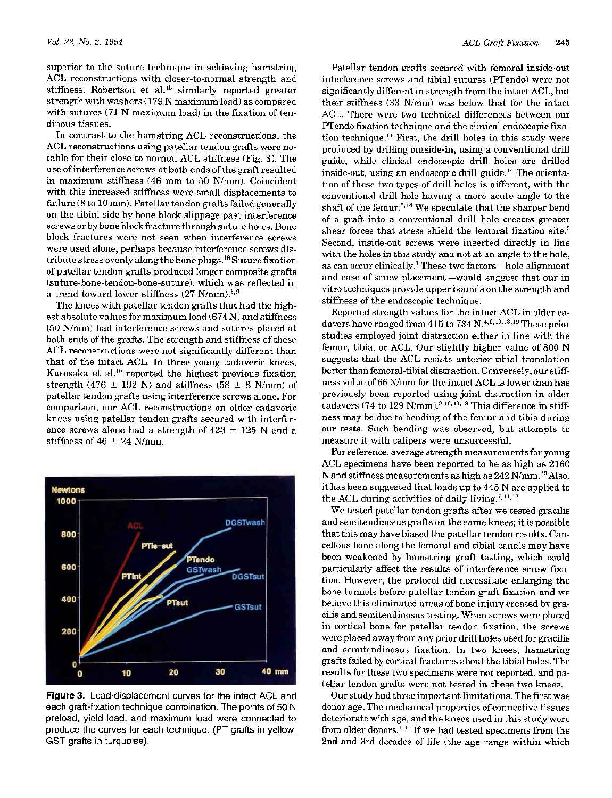superior to the suture technique in achieving hamstring ACL reconstructions with closer-to-normal strength and stiffness. Robertson et al.<sup>15</sup> similarly reported greater strength with washers (179 N maximum load) as compared with sutures (71 N maximum load) in the fixation of tendinous tissues.

In contrast to the hamstring ACL reconstructions, the ACL reconstructions using patellar tendon grafts were notable for their close-to-normal ACL stiffness (Fig. 3). The use of interference screws at both ends of the graft resulted in maximum stiffness (46 mm to 50 N/mm). Coincident with this increased stiffness were small displacements to failure (8 to 10 mm). Patellar tendon grafts failed generally on the tibial side by bone block slippage past interference screws or by bone block fracture through suture holes. Bone block fractures were not seen when interference screws were used alone, perhaps because interference screws distribute stress evenly along the bone plugs.<sup>16</sup> Suture fixation of patellar tendon grafts produced longer composite grafts (suture-bone-tendon-bone-suture), which was reflected in a trend toward lower stiffness (27 N/mm).<sup>6,9</sup>

The knees with patellar tendon grafts that had the highest absolute values for maximum load (674 N) and stiffness (50 N/mm) had interference screws and sutures placed at both ends of the grafts. The strength and stiffness of these ACL reconstructions were not significantly different than that of the intact ACL. In three young cadaveric knees. Kurosaka et al.<sup>10</sup> reported the highest previous fixation strength (476  $\pm$  192 N) and stiffness (58  $\pm$  8 N/mm) of patellar tendon grafts using interference screws alone. For comparison, our ACL reconstructions on older cadaveric knees using patellar tendon grafts secured with interference screws alone had a strength of  $423 \pm 125$  N and a stiffness of  $46 \pm 24$  N/mm.



Figure 3. Load-displacement curves for the intact ACL and each graft-fixation technique combination. The points of 50 N preload, yield load, and maximum load were connected to produce the curves for each technique. (PT grafts in yellow, GST grafts in turquoise).

Patellar tendon grafts secured with femoral inside-out interference screws and tibial sutures (PTendo) were not significantly different in strength from the intact ACL, but their stiffness (33 N/mm) was below that for the intact ACL. There were two technical differences between our PTendo fixation technique and the clinical endoscopic fixation technique.<sup>14</sup> First, the drill holes in this study were produced by drilling outside-in, using a conventional drill guide, while clinical endoscopic drill holes are drilled inside-out, using an endoscopic drill guide.<sup>14</sup> The orientation of these two types of drill holes is different, with the conventional drill hole having a more acute angle to the shaft of the femur.<sup>3,14</sup> We speculate that the sharper bend of a graft into a conventional drill hole creates greater shear forces that stress shield the femoral fixation site.<sup>3</sup> Second, inside-out screws were inserted directly in line with the holes in this study and not at an angle to the hole, as can occur clinically.<sup>1</sup> These two factors—hole alignment and ease of screw placement-would suggest that our in vitro techniques provide upper bounds on the strength and stiffness of the endoscopic technique.

Reported strength values for the intact ACL in older cadavers have ranged from  $415$  to  $734$  N.<sup>4,9,10,13,19</sup> These prior studies employed joint distraction either in line with the femur, tibia, or ACL. Our slightly higher value of 800 N suggests that the ACL resists anterior tibial translation better than femoral-tibial distraction. Conversely, our stiffness value of 66 N/mm for the intact ACL is lower than has previously been reported using joint distraction in older cadavers (74 to 129 N/mm).<sup>9,10,13,19</sup> This difference in stiffness may be due to bending of the femur and tibia during our tests. Such bending was observed, but attempts to measure it with calipers were unsuccessful.

For reference, average strength measurements for young ACL specimens have been reported to be as high as 2160 N and stiffness measurements as high as 242 N/mm.<sup>19</sup> Also, it has been suggested that loads up to 445 N are applied to the ACL during activities of daily living.<sup> $7,11,13$ </sup>

We tested patellar tendon grafts after we tested gracilis and semitendinosus grafts on the same knees; it is possible that this may have biased the patellar tendon results. Cancellous bone along the femoral and tibial canals may have been weakened by hamstring graft testing, which could particularly affect the results of interference screw fixation. However, the protocol did necessitate enlarging the bone tunnels before patellar tendon graft fixation and we believe this eliminated areas of bone injury created by gracilis and semitendinosus testing. When screws were placed in cortical bone for patellar tendon fixation, the screws were placed away from any prior drill holes used for gracilis and semitendinosus fixation. In two knees, hamstring grafts failed by cortical fractures about the tibial holes. The results for these two specimens were not reported, and patellar tendon grafts were not tested in these two knees.

Our study had three important limitations. The first was donor age. The mechanical properties of connective tissues deteriorate with age, and the knees used in this study were from older donors.<sup>4,19</sup> If we had tested specimens from the 2nd and 3rd decades of life (the age range within which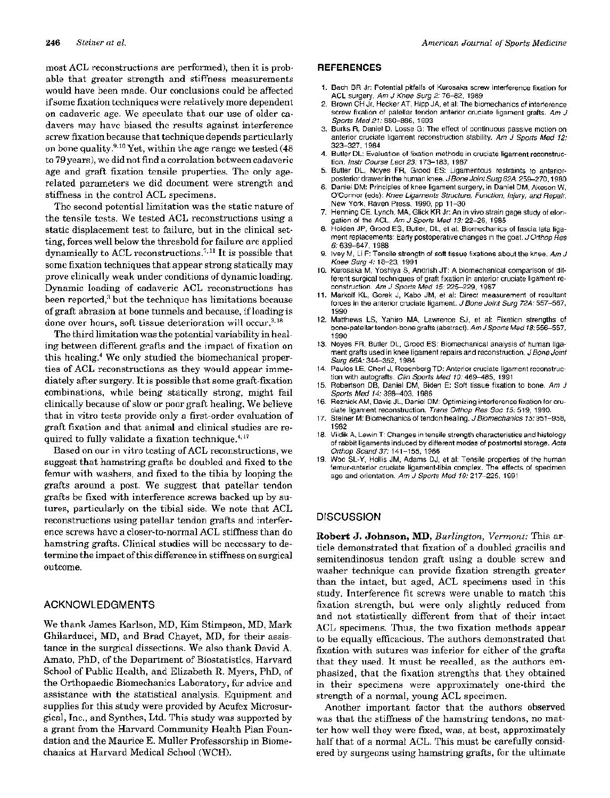most ACL reconstructions are performed), then it is probable that greater strength and stiffness measurements would have been made. Our conclusions could be affected if some fixation techniques were relatively more dependent on cadaveric age. We speculate that our use of older cadavers may have biased the results against interference screw fixation because that technique depends particularly on bone quality.<sup>9.10</sup> Yet, within the age range we tested (48 to 79 years), we did not find a correlation between cadaveric age and graft fixation tensile properties. The only agerelated parameters we did document were strength and stiffness in the control ACL specimens.

The second potential limitation was the static nature of the tensile tests. We tested ACL reconstructions using a static displacement test to failure, but in the clinical setting, forces well below the threshold for failure are applied dvnamically to ACL reconstructions.<sup>7,11</sup> It is possible that some fixation techniques that appear strong statically may prove clinically weak under conditions of dynamic loading. Dynamic loading of cadaveric ACL reconstructions has been reported,<sup>3</sup> but the technique has limitations because of graft abrasion at bone tunnels and because, if loading is done over hours, soft tissue deterioration will occur.<sup>3,18</sup>

The third limitation was the potential variability in healing between different grafts and the impact of fixation on this healing.<sup>4</sup> We only studied the biomechanical properties of ACL reconstructions as they would appear immediately after surgery. It is possible that some graft-fixation combinations, while being statically strong, might fail clinically because of slow or poor graft healing. We believe that in vitro tests provide only a first-order evaluation of graft fixation and that animal and clinical studies are required to fully validate a fixation technique.<sup>4,17</sup>

Based on our in vitro testing of ACL reconstructions, we suggest that hamstring grafts be doubled and fixed to the femur with washers, and fixed to the tibia by looping the grafts around a post. We suggest that patellar tendon grafts be fixed with interference screws backed up by sutures, particularly on the tibial side. We note that ACL reconstructions using patellar tendon grafts and interference screws have a closer-to-normal ACL stiffness than do hamstring grafts. Clinical studies will be necessary to determine the impact of this difference in stiffness on surgical outcome.

#### ACKNOWLEDGMENTS

We thank James Karlson, MD, Kim Stimpson, MD, Mark Ghilarducci, MD, and Brad Chayet, MD, for their assistance in the surgical dissections. We also thank David A. Amato, PhD, of the Department of Biostatistics, Harvard School of Public Health, and Elizabeth R. Myers, PhD, of the Orthopaedic Biomechanics Laboratory, for advice and assistance with the statistical analysis. Equipment and supplies for this study were provided by Acufex Microsurgical, Inc., and Synthes, Ltd. This study was supported by a grant from the Harvard Community Health Plan Foundation and the Maurice E. Muller Professorship in Biomechanics at Harvard Medical School (WCH).

#### **REFERENCES**

- 1. Bach BR Jr: Potential pitfalls of Kurosaka screw interference fixation for ACL surgery. Am J Knee Surg 2: 76-82, 1989
- 2. Brown CH Jr, Hecker AT, Hipp JA, et al: The biomechanics of interference screw fixation of patellar tendon anterior cruciate ligament grafts.  $AmJ$ Sports Med 21: 880-886, 1993
- Burks R. Daniel D. Losse G: The effect of continuous passive motion on anterior cruciate ligament reconstruction stability. Am J Sports Med 12: 323-327. 1984
- 4. Butler DL: Evaluation of fixation methods in cruciate ligament reconstruction. Instr Course Lect 23: 173-183, 1987
- Butler DL, Noyes FR, Grood ES: Ligamentous restraints to anteriorposterior drawer in the human knee. J Bone Joint Surg 62A: 259-270, 1980
- Daniel DM: Principles of knee ligament surgery, in Daniel DM, Akeson W. O'Connor (eds): Knee Ligaments Structure, Function, Injury, and Repair. New York, Raven Press, 1990, pp 11-30
- $\overline{z}$ Henning CE, Lynch, MA, Glick KR Jr: An in vivo strain gage study of elongation of the ACL. Am J Sports Med 13: 22-26, 1985
- Holden JP, Grood ES, Butter, DL, et al: Biomechanics of fascia lata ligament replacements: Early postoperative changes in the goat. J Orthop Res 6: 639-647, 1988
- Ivey M. Li F: Tensile strength of soft tissue fixations about the knee. Am J. Knee Surg 4: 18-23, 1991
- 10. Kurosaka M, Yoshiya S, Andrish JT: A biomechanical comparison of different surgical techniques of graft fixation in anterior cruciate ligament reconstruction. Am J Sports Med 15: 225-229, 1987
- 11. Markolf KL, Gorek J, Kabo JM, et al: Direct measurement of resultant forces in the anterior cruciate ligament. J Bone Joint Surg 72A: 557-567, 1990
- 12. Matthews LS, Yahiro MA, Lawrence SJ, et al: Fixation strengths of bone-patellar tendon-bone grafts (abstract). Am J Sports Med 18:556-557. 1990
- 13. Noves FR, Butler DL, Grood ES: Biomechanical analysis of human ligament grafts used in knee ligament repairs and reconstruction. J Bone Joint Sura 66A: 344-352, 1984
- $14$ Paulos LE, Cherf J, Rosenberg TD: Anterior cruciate ligament reconstruction with autografts. Clin Sports Med 10: 469-485, 1991
- 15. Robertson DB, Daniel DM, Biden E: Soft tissue fixation to bone. Am J Sports Med 14: 398-403, 1986
- Reznick AM, Davis JL, Daniel DM: Optimizing interference fixation for cru-16. ciate ligament reconstruction. Trans Orthop Res Soc 15: 519, 1990.
- 17. Steiner M: Biomechanics of tendon healing. J Biomechanics 15: 951-958, 1982
- 18. Viidik A, Lewin T: Changes in tensile strength characteristics and histology of rabbit ligaments induced by different modes of postmortal storage. Acta Orthop Scand 37: 141-155, 1966
- Woo SL-Y, Hollis JM, Adams DJ, et al: Tensile properties of the human 19. femur-anterior cruciate ligament-tibia complex. The effects of specimen age and orientation. Am J Sports Med 19: 217-225, 1991

## **DISCUSSION**

Robert J. Johnson, MD, Burlington, Vermont: This article demonstrated that fixation of a doubled gracilis and semitendinosus tendon graft using a double screw and washer technique can provide fixation strength greater than the intact, but aged, ACL specimens used in this study. Interference fit screws were unable to match this fixation strength, but were only slightly reduced from and not statistically different from that of their intact ACL specimens. Thus, the two fixation methods appear to be equally efficacious. The authors demonstrated that fixation with sutures was inferior for either of the grafts that they used. It must be recalled, as the authors emphasized, that the fixation strengths that they obtained in their specimens were approximately one-third the strength of a normal, young ACL specimen.

Another important factor that the authors observed was that the stiffness of the hamstring tendons, no matter how well they were fixed, was, at best, approximately half that of a normal ACL. This must be carefully considered by surgeons using hamstring grafts, for the ultimate